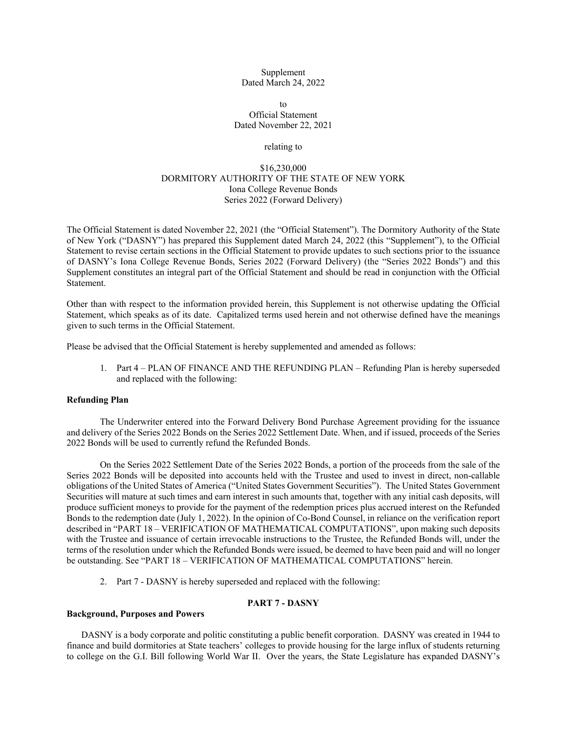Supplement Dated March 24, 2022

 $t_0$ Official Statement Dated November 22, 2021

# relating to

# \$16,230,000 DORMITORY AUTHORITY OF THE STATE OF NEW YORK Iona College Revenue Bonds Series 2022 (Forward Delivery)

The Official Statement is dated November 22, 2021 (the "Official Statement"). The Dormitory Authority of the State of New York ("DASNY") has prepared this Supplement dated March 24, 2022 (this "Supplement"), to the Official Statement to revise certain sections in the Official Statement to provide updates to such sections prior to the issuance of DASNY's Iona College Revenue Bonds, Series 2022 (Forward Delivery) (the "Series 2022 Bonds") and this Supplement constitutes an integral part of the Official Statement and should be read in conjunction with the Official Statement.

Other than with respect to the information provided herein, this Supplement is not otherwise updating the Official Statement, which speaks as of its date. Capitalized terms used herein and not otherwise defined have the meanings given to such terms in the Official Statement.

Please be advised that the Official Statement is hereby supplemented and amended as follows:

1. Part 4 – PLAN OF FINANCE AND THE REFUNDING PLAN – Refunding Plan is hereby superseded and replaced with the following:

## **Refunding Plan**

The Underwriter entered into the Forward Delivery Bond Purchase Agreement providing for the issuance and delivery of the Series 2022 Bonds on the Series 2022 Settlement Date. When, and if issued, proceeds of the Series 2022 Bonds will be used to currently refund the Refunded Bonds.

On the Series 2022 Settlement Date of the Series 2022 Bonds, a portion of the proceeds from the sale of the Series 2022 Bonds will be deposited into accounts held with the Trustee and used to invest in direct, non-callable obligations of the United States of America ("United States Government Securities"). The United States Government Securities will mature at such times and earn interest in such amounts that, together with any initial cash deposits, will produce sufficient moneys to provide for the payment of the redemption prices plus accrued interest on the Refunded Bonds to the redemption date (July 1, 2022). In the opinion of Co-Bond Counsel, in reliance on the verification report described in "PART 18 – VERIFICATION OF MATHEMATICAL COMPUTATIONS", upon making such deposits with the Trustee and issuance of certain irrevocable instructions to the Trustee, the Refunded Bonds will, under the terms of the resolution under which the Refunded Bonds were issued, be deemed to have been paid and will no longer be outstanding. See "PART 18 – VERIFICATION OF MATHEMATICAL COMPUTATIONS" herein.

2. Part 7 - DASNY is hereby superseded and replaced with the following:

# **PART 7 - DASNY**

# **Background, Purposes and Powers**

DASNY is a body corporate and politic constituting a public benefit corporation. DASNY was created in 1944 to finance and build dormitories at State teachers' colleges to provide housing for the large influx of students returning to college on the G.I. Bill following World War II. Over the years, the State Legislature has expanded DASNY's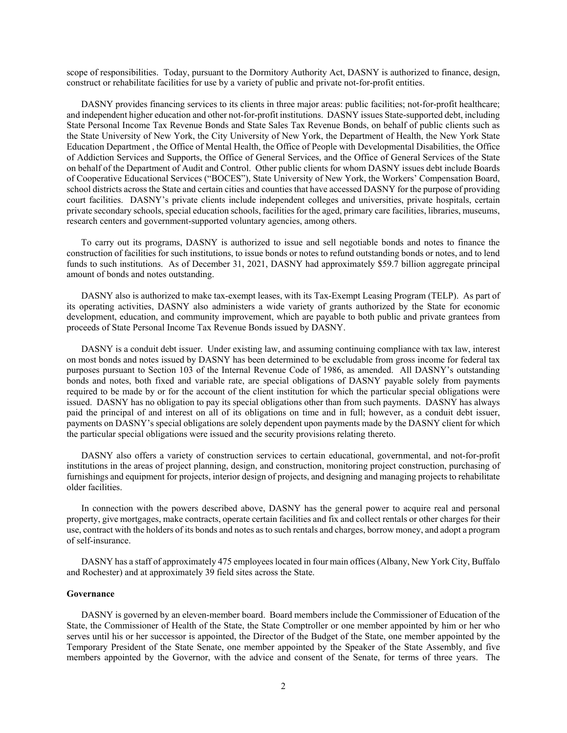scope of responsibilities. Today, pursuant to the Dormitory Authority Act, DASNY is authorized to finance, design, construct or rehabilitate facilities for use by a variety of public and private not-for-profit entities.

DASNY provides financing services to its clients in three major areas: public facilities; not-for-profit healthcare; and independent higher education and other not-for-profit institutions. DASNY issues State-supported debt, including State Personal Income Tax Revenue Bonds and State Sales Tax Revenue Bonds, on behalf of public clients such as the State University of New York, the City University of New York, the Department of Health, the New York State Education Department , the Office of Mental Health, the Office of People with Developmental Disabilities, the Office of Addiction Services and Supports, the Office of General Services, and the Office of General Services of the State on behalf of the Department of Audit and Control. Other public clients for whom DASNY issues debt include Boards of Cooperative Educational Services ("BOCES"), State University of New York, the Workers' Compensation Board, school districts across the State and certain cities and counties that have accessed DASNY for the purpose of providing court facilities. DASNY's private clients include independent colleges and universities, private hospitals, certain private secondary schools, special education schools, facilities for the aged, primary care facilities, libraries, museums, research centers and government-supported voluntary agencies, among others.

To carry out its programs, DASNY is authorized to issue and sell negotiable bonds and notes to finance the construction of facilities for such institutions, to issue bonds or notes to refund outstanding bonds or notes, and to lend funds to such institutions. As of December 31, 2021, DASNY had approximately \$59.7 billion aggregate principal amount of bonds and notes outstanding.

DASNY also is authorized to make tax-exempt leases, with its Tax-Exempt Leasing Program (TELP). As part of its operating activities, DASNY also administers a wide variety of grants authorized by the State for economic development, education, and community improvement, which are payable to both public and private grantees from proceeds of State Personal Income Tax Revenue Bonds issued by DASNY.

DASNY is a conduit debt issuer. Under existing law, and assuming continuing compliance with tax law, interest on most bonds and notes issued by DASNY has been determined to be excludable from gross income for federal tax purposes pursuant to Section 103 of the Internal Revenue Code of 1986, as amended. All DASNY's outstanding bonds and notes, both fixed and variable rate, are special obligations of DASNY payable solely from payments required to be made by or for the account of the client institution for which the particular special obligations were issued. DASNY has no obligation to pay its special obligations other than from such payments. DASNY has always paid the principal of and interest on all of its obligations on time and in full; however, as a conduit debt issuer, payments on DASNY's special obligations are solely dependent upon payments made by the DASNY client for which the particular special obligations were issued and the security provisions relating thereto.

DASNY also offers a variety of construction services to certain educational, governmental, and not-for-profit institutions in the areas of project planning, design, and construction, monitoring project construction, purchasing of furnishings and equipment for projects, interior design of projects, and designing and managing projects to rehabilitate older facilities.

In connection with the powers described above, DASNY has the general power to acquire real and personal property, give mortgages, make contracts, operate certain facilities and fix and collect rentals or other charges for their use, contract with the holders of its bonds and notes as to such rentals and charges, borrow money, and adopt a program of self-insurance.

DASNY has a staff of approximately 475 employees located in four main offices (Albany, New York City, Buffalo and Rochester) and at approximately 39 field sites across the State.

# **Governance**

DASNY is governed by an eleven-member board. Board members include the Commissioner of Education of the State, the Commissioner of Health of the State, the State Comptroller or one member appointed by him or her who serves until his or her successor is appointed, the Director of the Budget of the State, one member appointed by the Temporary President of the State Senate, one member appointed by the Speaker of the State Assembly, and five members appointed by the Governor, with the advice and consent of the Senate, for terms of three years. The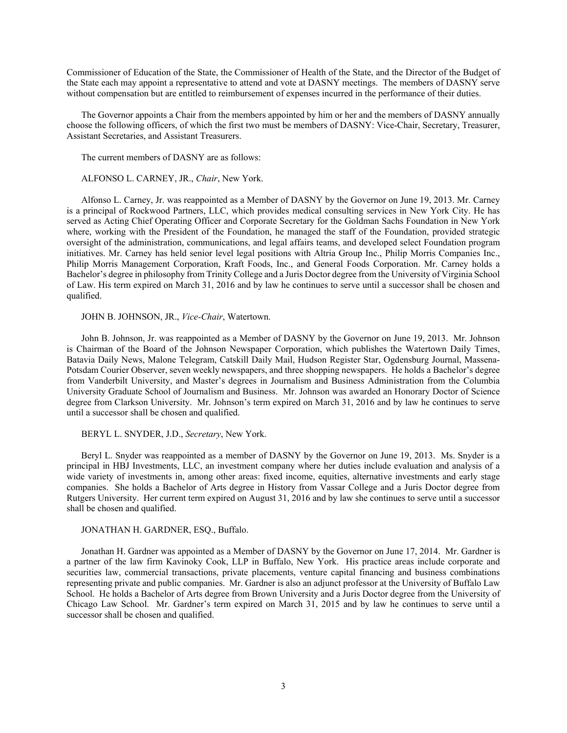Commissioner of Education of the State, the Commissioner of Health of the State, and the Director of the Budget of the State each may appoint a representative to attend and vote at DASNY meetings. The members of DASNY serve without compensation but are entitled to reimbursement of expenses incurred in the performance of their duties.

The Governor appoints a Chair from the members appointed by him or her and the members of DASNY annually choose the following officers, of which the first two must be members of DASNY: Vice-Chair, Secretary, Treasurer, Assistant Secretaries, and Assistant Treasurers.

The current members of DASNY are as follows:

ALFONSO L. CARNEY, JR., *Chair*, New York.

Alfonso L. Carney, Jr. was reappointed as a Member of DASNY by the Governor on June 19, 2013. Mr. Carney is a principal of Rockwood Partners, LLC, which provides medical consulting services in New York City. He has served as Acting Chief Operating Officer and Corporate Secretary for the Goldman Sachs Foundation in New York where, working with the President of the Foundation, he managed the staff of the Foundation, provided strategic oversight of the administration, communications, and legal affairs teams, and developed select Foundation program initiatives. Mr. Carney has held senior level legal positions with Altria Group Inc., Philip Morris Companies Inc., Philip Morris Management Corporation, Kraft Foods, Inc., and General Foods Corporation. Mr. Carney holds a Bachelor's degree in philosophy from Trinity College and a Juris Doctor degree from the University of Virginia School of Law. His term expired on March 31, 2016 and by law he continues to serve until a successor shall be chosen and qualified.

JOHN B. JOHNSON, JR., *Vice-Chair*, Watertown.

John B. Johnson, Jr. was reappointed as a Member of DASNY by the Governor on June 19, 2013. Mr. Johnson is Chairman of the Board of the Johnson Newspaper Corporation, which publishes the Watertown Daily Times, Batavia Daily News, Malone Telegram, Catskill Daily Mail, Hudson Register Star, Ogdensburg Journal, Massena-Potsdam Courier Observer, seven weekly newspapers, and three shopping newspapers. He holds a Bachelor's degree from Vanderbilt University, and Master's degrees in Journalism and Business Administration from the Columbia University Graduate School of Journalism and Business. Mr. Johnson was awarded an Honorary Doctor of Science degree from Clarkson University. Mr. Johnson's term expired on March 31, 2016 and by law he continues to serve until a successor shall be chosen and qualified.

BERYL L. SNYDER, J.D., *Secretary*, New York.

Beryl L. Snyder was reappointed as a member of DASNY by the Governor on June 19, 2013. Ms. Snyder is a principal in HBJ Investments, LLC, an investment company where her duties include evaluation and analysis of a wide variety of investments in, among other areas: fixed income, equities, alternative investments and early stage companies. She holds a Bachelor of Arts degree in History from Vassar College and a Juris Doctor degree from Rutgers University. Her current term expired on August 31, 2016 and by law she continues to serve until a successor shall be chosen and qualified.

JONATHAN H. GARDNER, ESQ., Buffalo.

Jonathan H. Gardner was appointed as a Member of DASNY by the Governor on June 17, 2014. Mr. Gardner is a partner of the law firm Kavinoky Cook, LLP in Buffalo, New York. His practice areas include corporate and securities law, commercial transactions, private placements, venture capital financing and business combinations representing private and public companies. Mr. Gardner is also an adjunct professor at the University of Buffalo Law School. He holds a Bachelor of Arts degree from Brown University and a Juris Doctor degree from the University of Chicago Law School. Mr. Gardner's term expired on March 31, 2015 and by law he continues to serve until a successor shall be chosen and qualified.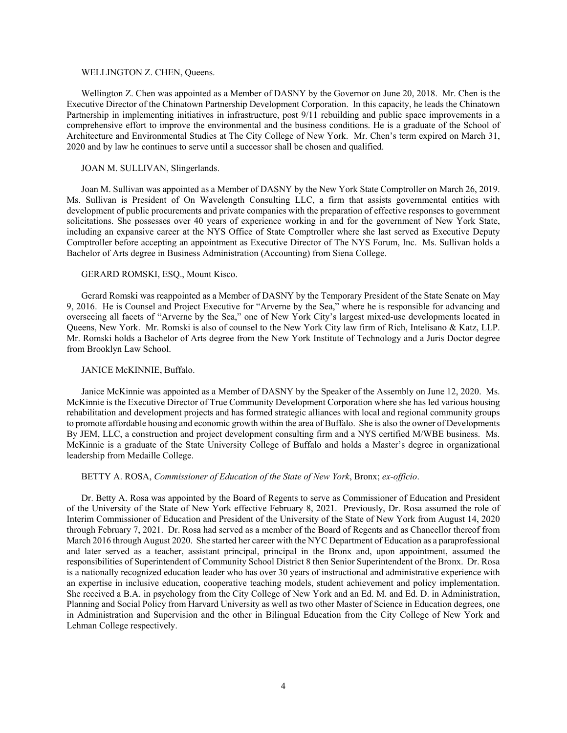### WELLINGTON Z. CHEN, Queens.

Wellington Z. Chen was appointed as a Member of DASNY by the Governor on June 20, 2018. Mr. Chen is the Executive Director of the Chinatown Partnership Development Corporation. In this capacity, he leads the Chinatown Partnership in implementing initiatives in infrastructure, post 9/11 rebuilding and public space improvements in a comprehensive effort to improve the environmental and the business conditions. He is a graduate of the School of Architecture and Environmental Studies at The City College of New York. Mr. Chen's term expired on March 31, 2020 and by law he continues to serve until a successor shall be chosen and qualified.

## JOAN M. SULLIVAN, Slingerlands.

Joan M. Sullivan was appointed as a Member of DASNY by the New York State Comptroller on March 26, 2019. Ms. Sullivan is President of On Wavelength Consulting LLC, a firm that assists governmental entities with development of public procurements and private companies with the preparation of effective responses to government solicitations. She possesses over 40 years of experience working in and for the government of New York State, including an expansive career at the NYS Office of State Comptroller where she last served as Executive Deputy Comptroller before accepting an appointment as Executive Director of The NYS Forum, Inc. Ms. Sullivan holds a Bachelor of Arts degree in Business Administration (Accounting) from Siena College.

# GERARD ROMSKI, ESQ., Mount Kisco.

Gerard Romski was reappointed as a Member of DASNY by the Temporary President of the State Senate on May 9, 2016. He is Counsel and Project Executive for "Arverne by the Sea," where he is responsible for advancing and overseeing all facets of "Arverne by the Sea," one of New York City's largest mixed-use developments located in Queens, New York. Mr. Romski is also of counsel to the New York City law firm of Rich, Intelisano & Katz, LLP. Mr. Romski holds a Bachelor of Arts degree from the New York Institute of Technology and a Juris Doctor degree from Brooklyn Law School.

### JANICE McKINNIE, Buffalo.

Janice McKinnie was appointed as a Member of DASNY by the Speaker of the Assembly on June 12, 2020. Ms. McKinnie is the Executive Director of True Community Development Corporation where she has led various housing rehabilitation and development projects and has formed strategic alliances with local and regional community groups to promote affordable housing and economic growth within the area of Buffalo. She is also the owner of Developments By JEM, LLC, a construction and project development consulting firm and a NYS certified M/WBE business. Ms. McKinnie is a graduate of the State University College of Buffalo and holds a Master's degree in organizational leadership from Medaille College.

### BETTY A. ROSA, *Commissioner of Education of the State of New York*, Bronx; *ex-officio*.

Dr. Betty A. Rosa was appointed by the Board of Regents to serve as Commissioner of Education and President of the University of the State of New York effective February 8, 2021. Previously, Dr. Rosa assumed the role of Interim Commissioner of Education and President of the University of the State of New York from August 14, 2020 through February 7, 2021. Dr. Rosa had served as a member of the Board of Regents and as Chancellor thereof from March 2016 through August 2020. She started her career with the NYC Department of Education as a paraprofessional and later served as a teacher, assistant principal, principal in the Bronx and, upon appointment, assumed the responsibilities of Superintendent of Community School District 8 then Senior Superintendent of the Bronx. Dr. Rosa is a nationally recognized education leader who has over 30 years of instructional and administrative experience with an expertise in inclusive education, cooperative teaching models, student achievement and policy implementation. She received a B.A. in psychology from the City College of New York and an Ed. M. and Ed. D. in Administration, Planning and Social Policy from Harvard University as well as two other Master of Science in Education degrees, one in Administration and Supervision and the other in Bilingual Education from the City College of New York and Lehman College respectively.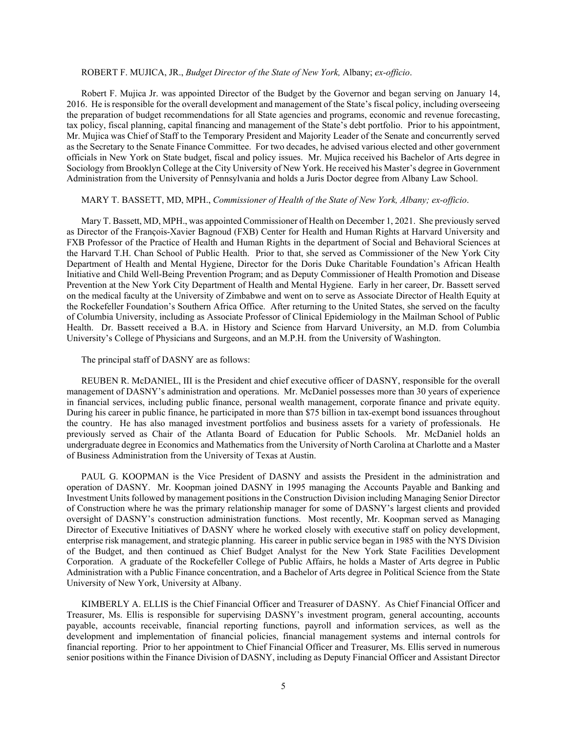# ROBERT F. MUJICA, JR., *Budget Director of the State of New York,* Albany; *ex-officio*.

Robert F. Mujica Jr. was appointed Director of the Budget by the Governor and began serving on January 14, 2016. He is responsible for the overall development and management of the State's fiscal policy, including overseeing the preparation of budget recommendations for all State agencies and programs, economic and revenue forecasting, tax policy, fiscal planning, capital financing and management of the State's debt portfolio. Prior to his appointment, Mr. Mujica was Chief of Staff to the Temporary President and Majority Leader of the Senate and concurrently served as the Secretary to the Senate Finance Committee. For two decades, he advised various elected and other government officials in New York on State budget, fiscal and policy issues. Mr. Mujica received his Bachelor of Arts degree in Sociology from Brooklyn College at the City University of New York. He received his Master's degree in Government Administration from the University of Pennsylvania and holds a Juris Doctor degree from Albany Law School.

# MARY T. BASSETT, MD, MPH., *Commissioner of Health of the State of New York, Albany; ex-officio*.

Mary T. Bassett, MD, MPH., was appointed Commissioner of Health on December 1, 2021. She previously served as Director of the François-Xavier Bagnoud (FXB) Center for Health and Human Rights at Harvard University and FXB Professor of the Practice of Health and Human Rights in the department of Social and Behavioral Sciences at the Harvard T.H. Chan School of Public Health. Prior to that, she served as Commissioner of the New York City Department of Health and Mental Hygiene, Director for the Doris Duke Charitable Foundation's African Health Initiative and Child Well-Being Prevention Program; and as Deputy Commissioner of Health Promotion and Disease Prevention at the New York City Department of Health and Mental Hygiene. Early in her career, Dr. Bassett served on the medical faculty at the University of Zimbabwe and went on to serve as Associate Director of Health Equity at the Rockefeller Foundation's Southern Africa Office. After returning to the United States, she served on the faculty of Columbia University, including as Associate Professor of Clinical Epidemiology in the Mailman School of Public Health. Dr. Bassett received a B.A. in History and Science from Harvard University, an M.D. from Columbia University's College of Physicians and Surgeons, and an M.P.H. from the University of Washington.

#### The principal staff of DASNY are as follows:

REUBEN R. McDANIEL, III is the President and chief executive officer of DASNY, responsible for the overall management of DASNY's administration and operations. Mr. McDaniel possesses more than 30 years of experience in financial services, including public finance, personal wealth management, corporate finance and private equity. During his career in public finance, he participated in more than \$75 billion in tax-exempt bond issuances throughout the country. He has also managed investment portfolios and business assets for a variety of professionals. He previously served as Chair of the Atlanta Board of Education for Public Schools. Mr. McDaniel holds an undergraduate degree in Economics and Mathematics from the University of North Carolina at Charlotte and a Master of Business Administration from the University of Texas at Austin.

PAUL G. KOOPMAN is the Vice President of DASNY and assists the President in the administration and operation of DASNY. Mr. Koopman joined DASNY in 1995 managing the Accounts Payable and Banking and Investment Units followed by management positions in the Construction Division including Managing Senior Director of Construction where he was the primary relationship manager for some of DASNY's largest clients and provided oversight of DASNY's construction administration functions. Most recently, Mr. Koopman served as Managing Director of Executive Initiatives of DASNY where he worked closely with executive staff on policy development, enterprise risk management, and strategic planning. His career in public service began in 1985 with the NYS Division of the Budget, and then continued as Chief Budget Analyst for the New York State Facilities Development Corporation. A graduate of the Rockefeller College of Public Affairs, he holds a Master of Arts degree in Public Administration with a Public Finance concentration, and a Bachelor of Arts degree in Political Science from the State University of New York, University at Albany.

KIMBERLY A. ELLIS is the Chief Financial Officer and Treasurer of DASNY. As Chief Financial Officer and Treasurer, Ms. Ellis is responsible for supervising DASNY's investment program, general accounting, accounts payable, accounts receivable, financial reporting functions, payroll and information services, as well as the development and implementation of financial policies, financial management systems and internal controls for financial reporting. Prior to her appointment to Chief Financial Officer and Treasurer, Ms. Ellis served in numerous senior positions within the Finance Division of DASNY, including as Deputy Financial Officer and Assistant Director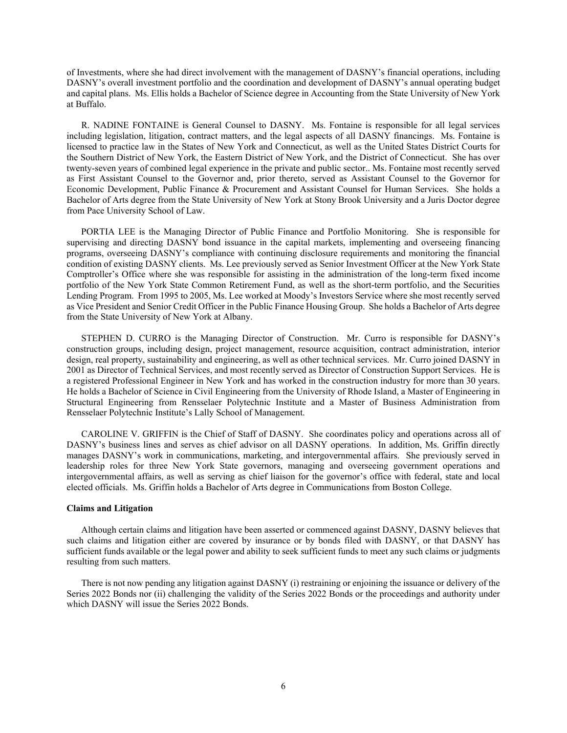of Investments, where she had direct involvement with the management of DASNY's financial operations, including DASNY's overall investment portfolio and the coordination and development of DASNY's annual operating budget and capital plans. Ms. Ellis holds a Bachelor of Science degree in Accounting from the State University of New York at Buffalo.

R. NADINE FONTAINE is General Counsel to DASNY. Ms. Fontaine is responsible for all legal services including legislation, litigation, contract matters, and the legal aspects of all DASNY financings. Ms. Fontaine is licensed to practice law in the States of New York and Connecticut, as well as the United States District Courts for the Southern District of New York, the Eastern District of New York, and the District of Connecticut. She has over twenty-seven years of combined legal experience in the private and public sector.. Ms. Fontaine most recently served as First Assistant Counsel to the Governor and, prior thereto, served as Assistant Counsel to the Governor for Economic Development, Public Finance & Procurement and Assistant Counsel for Human Services. She holds a Bachelor of Arts degree from the State University of New York at Stony Brook University and a Juris Doctor degree from Pace University School of Law.

PORTIA LEE is the Managing Director of Public Finance and Portfolio Monitoring. She is responsible for supervising and directing DASNY bond issuance in the capital markets, implementing and overseeing financing programs, overseeing DASNY's compliance with continuing disclosure requirements and monitoring the financial condition of existing DASNY clients. Ms. Lee previously served as Senior Investment Officer at the New York State Comptroller's Office where she was responsible for assisting in the administration of the long-term fixed income portfolio of the New York State Common Retirement Fund, as well as the short-term portfolio, and the Securities Lending Program. From 1995 to 2005, Ms. Lee worked at Moody's Investors Service where she most recently served as Vice President and Senior Credit Officer in the Public Finance Housing Group. She holds a Bachelor of Arts degree from the State University of New York at Albany.

STEPHEN D. CURRO is the Managing Director of Construction. Mr. Curro is responsible for DASNY's construction groups, including design, project management, resource acquisition, contract administration, interior design, real property, sustainability and engineering, as well as other technical services. Mr. Curro joined DASNY in 2001 as Director of Technical Services, and most recently served as Director of Construction Support Services. He is a registered Professional Engineer in New York and has worked in the construction industry for more than 30 years. He holds a Bachelor of Science in Civil Engineering from the University of Rhode Island, a Master of Engineering in Structural Engineering from Rensselaer Polytechnic Institute and a Master of Business Administration from Rensselaer Polytechnic Institute's Lally School of Management.

CAROLINE V. GRIFFIN is the Chief of Staff of DASNY. She coordinates policy and operations across all of DASNY's business lines and serves as chief advisor on all DASNY operations. In addition, Ms. Griffin directly manages DASNY's work in communications, marketing, and intergovernmental affairs. She previously served in leadership roles for three New York State governors, managing and overseeing government operations and intergovernmental affairs, as well as serving as chief liaison for the governor's office with federal, state and local elected officials. Ms. Griffin holds a Bachelor of Arts degree in Communications from Boston College.

# **Claims and Litigation**

Although certain claims and litigation have been asserted or commenced against DASNY, DASNY believes that such claims and litigation either are covered by insurance or by bonds filed with DASNY, or that DASNY has sufficient funds available or the legal power and ability to seek sufficient funds to meet any such claims or judgments resulting from such matters.

There is not now pending any litigation against DASNY (i) restraining or enjoining the issuance or delivery of the Series 2022 Bonds nor (ii) challenging the validity of the Series 2022 Bonds or the proceedings and authority under which DASNY will issue the Series 2022 Bonds.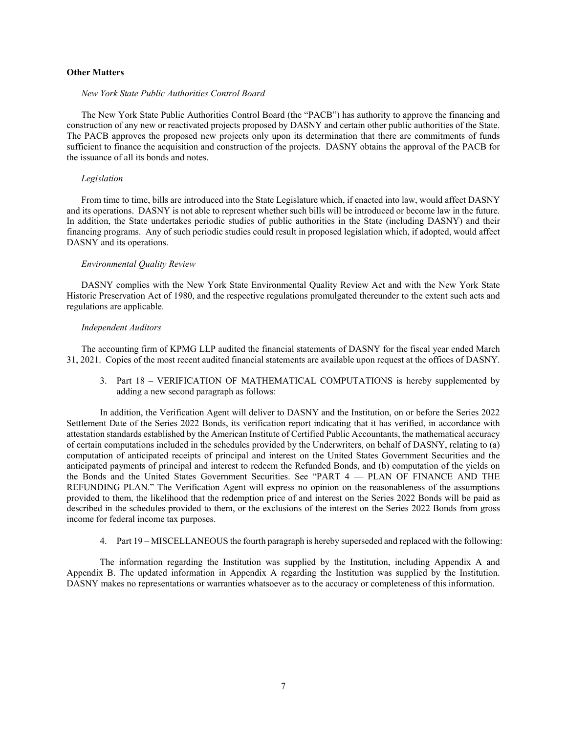# **Other Matters**

### *New York State Public Authorities Control Board*

The New York State Public Authorities Control Board (the "PACB") has authority to approve the financing and construction of any new or reactivated projects proposed by DASNY and certain other public authorities of the State. The PACB approves the proposed new projects only upon its determination that there are commitments of funds sufficient to finance the acquisition and construction of the projects. DASNY obtains the approval of the PACB for the issuance of all its bonds and notes.

## *Legislation*

From time to time, bills are introduced into the State Legislature which, if enacted into law, would affect DASNY and its operations. DASNY is not able to represent whether such bills will be introduced or become law in the future. In addition, the State undertakes periodic studies of public authorities in the State (including DASNY) and their financing programs. Any of such periodic studies could result in proposed legislation which, if adopted, would affect DASNY and its operations.

### *Environmental Quality Review*

DASNY complies with the New York State Environmental Quality Review Act and with the New York State Historic Preservation Act of 1980, and the respective regulations promulgated thereunder to the extent such acts and regulations are applicable.

### *Independent Auditors*

The accounting firm of KPMG LLP audited the financial statements of DASNY for the fiscal year ended March 31, 2021. Copies of the most recent audited financial statements are available upon request at the offices of DASNY.

3. Part 18 – VERIFICATION OF MATHEMATICAL COMPUTATIONS is hereby supplemented by adding a new second paragraph as follows:

In addition, the Verification Agent will deliver to DASNY and the Institution, on or before the Series 2022 Settlement Date of the Series 2022 Bonds, its verification report indicating that it has verified, in accordance with attestation standards established by the American Institute of Certified Public Accountants, the mathematical accuracy of certain computations included in the schedules provided by the Underwriters, on behalf of DASNY, relating to (a) computation of anticipated receipts of principal and interest on the United States Government Securities and the anticipated payments of principal and interest to redeem the Refunded Bonds, and (b) computation of the yields on the Bonds and the United States Government Securities. See "PART 4 — PLAN OF FINANCE AND THE REFUNDING PLAN." The Verification Agent will express no opinion on the reasonableness of the assumptions provided to them, the likelihood that the redemption price of and interest on the Series 2022 Bonds will be paid as described in the schedules provided to them, or the exclusions of the interest on the Series 2022 Bonds from gross income for federal income tax purposes.

4. Part 19 – MISCELLANEOUS the fourth paragraph is hereby superseded and replaced with the following:

The information regarding the Institution was supplied by the Institution, including Appendix A and Appendix B. The updated information in Appendix A regarding the Institution was supplied by the Institution. DASNY makes no representations or warranties whatsoever as to the accuracy or completeness of this information.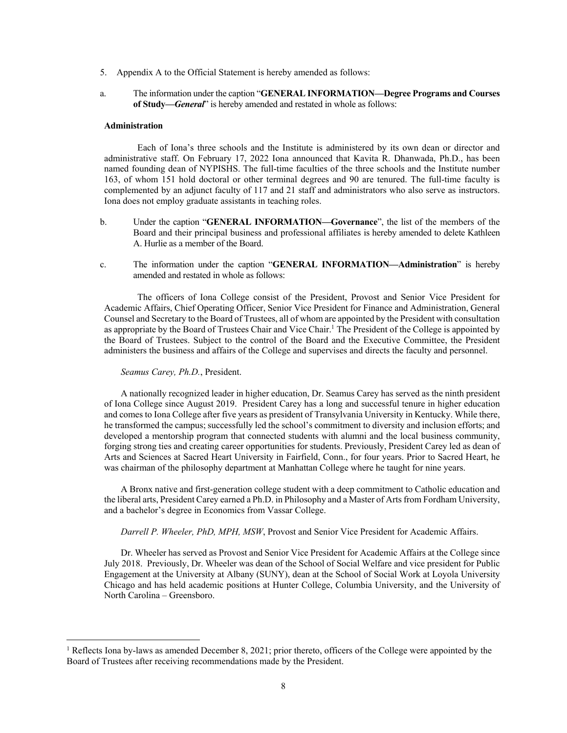- 5. Appendix A to the Official Statement is hereby amended as follows:
- a. The information under the caption "**GENERAL INFORMATION—Degree Programs and Courses of Study—***General*" is hereby amended and restated in whole as follows:

#### **Administration**

Each of Iona's three schools and the Institute is administered by its own dean or director and administrative staff. On February 17, 2022 Iona announced that Kavita R. Dhanwada, Ph.D., has been named founding dean of NYPISHS. The full-time faculties of the three schools and the Institute number 163, of whom 151 hold doctoral or other terminal degrees and 90 are tenured. The full-time faculty is complemented by an adjunct faculty of 117 and 21 staff and administrators who also serve as instructors. Iona does not employ graduate assistants in teaching roles.

- b. Under the caption "**GENERAL INFORMATION—Governance**", the list of the members of the Board and their principal business and professional affiliates is hereby amended to delete Kathleen A. Hurlie as a member of the Board.
- c. The information under the caption "**GENERAL INFORMATION—Administration**" is hereby amended and restated in whole as follows:

The officers of Iona College consist of the President, Provost and Senior Vice President for Academic Affairs, Chief Operating Officer, Senior Vice President for Finance and Administration, General Counsel and Secretary to the Board of Trustees, all of whom are appointed by the President with consultation as appropriate by the Board of Trustees Chair and Vice Chair.<sup>1</sup> The President of the College is appointed by the Board of Trustees. Subject to the control of the Board and the Executive Committee, the President administers the business and affairs of the College and supervises and directs the faculty and personnel.

# *Seamus Carey, Ph.D.*, President.

 $\overline{a}$ 

A nationally recognized leader in higher education, Dr. Seamus Carey has served as the ninth president of Iona College since August 2019. President Carey has a long and successful tenure in higher education and comes to Iona College after five years as president of Transylvania University in Kentucky. While there, he transformed the campus; successfully led the school's commitment to diversity and inclusion efforts; and developed a mentorship program that connected students with alumni and the local business community, forging strong ties and creating career opportunities for students. Previously, President Carey led as dean of Arts and Sciences at Sacred Heart University in Fairfield, Conn., for four years. Prior to Sacred Heart, he was chairman of the philosophy department at Manhattan College where he taught for nine years.

A Bronx native and first-generation college student with a deep commitment to Catholic education and the liberal arts, President Carey earned a Ph.D. in Philosophy and a Master of Arts from Fordham University, and a bachelor's degree in Economics from Vassar College.

*Darrell P. Wheeler, PhD, MPH, MSW*, Provost and Senior Vice President for Academic Affairs.

Dr. Wheeler has served as Provost and Senior Vice President for Academic Affairs at the College since July 2018. Previously, Dr. Wheeler was dean of the School of Social Welfare and vice president for Public Engagement at the University at Albany (SUNY), dean at the School of Social Work at Loyola University Chicago and has held academic positions at Hunter College, Columbia University, and the University of North Carolina – Greensboro.

<sup>&</sup>lt;sup>1</sup> Reflects Iona by-laws as amended December 8, 2021; prior thereto, officers of the College were appointed by the Board of Trustees after receiving recommendations made by the President.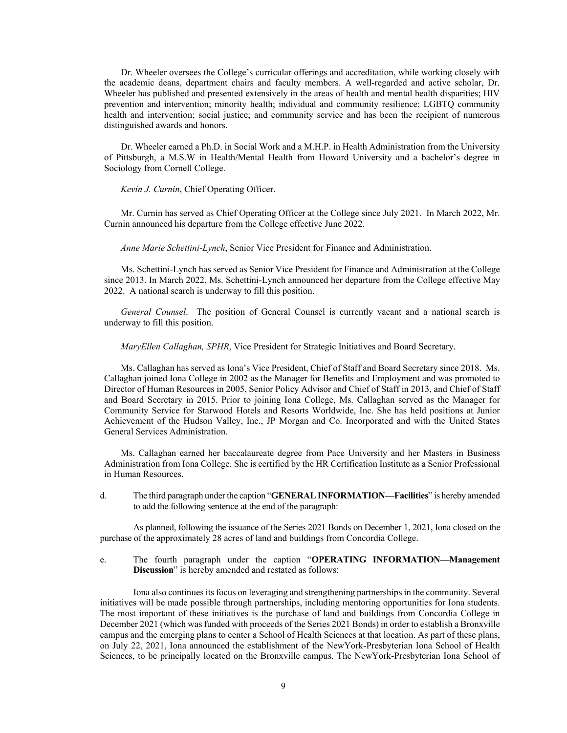Dr. Wheeler oversees the College's curricular offerings and accreditation, while working closely with the academic deans, department chairs and faculty members. A well-regarded and active scholar, Dr. Wheeler has published and presented extensively in the areas of health and mental health disparities; HIV prevention and intervention; minority health; individual and community resilience; LGBTQ community health and intervention; social justice; and community service and has been the recipient of numerous distinguished awards and honors.

Dr. Wheeler earned a Ph.D. in Social Work and a M.H.P. in Health Administration from the University of Pittsburgh, a M.S.W in Health/Mental Health from Howard University and a bachelor's degree in Sociology from Cornell College.

## *Kevin J. Curnin*, Chief Operating Officer.

Mr. Curnin has served as Chief Operating Officer at the College since July 2021. In March 2022, Mr. Curnin announced his departure from the College effective June 2022.

*Anne Marie Schettini-Lynch*, Senior Vice President for Finance and Administration.

Ms. Schettini-Lynch has served as Senior Vice President for Finance and Administration at the College since 2013. In March 2022, Ms. Schettini-Lynch announced her departure from the College effective May 2022. A national search is underway to fill this position.

*General Counsel*. The position of General Counsel is currently vacant and a national search is underway to fill this position.

*MaryEllen Callaghan, SPHR*, Vice President for Strategic Initiatives and Board Secretary.

Ms. Callaghan has served as Iona's Vice President, Chief of Staff and Board Secretary since 2018. Ms. Callaghan joined Iona College in 2002 as the Manager for Benefits and Employment and was promoted to Director of Human Resources in 2005, Senior Policy Advisor and Chief of Staff in 2013, and Chief of Staff and Board Secretary in 2015. Prior to joining Iona College, Ms. Callaghan served as the Manager for Community Service for Starwood Hotels and Resorts Worldwide, Inc. She has held positions at Junior Achievement of the Hudson Valley, Inc., JP Morgan and Co. Incorporated and with the United States General Services Administration.

Ms. Callaghan earned her baccalaureate degree from Pace University and her Masters in Business Administration from Iona College. She is certified by the HR Certification Institute as a Senior Professional in Human Resources.

d. The third paragraph under the caption "**GENERAL INFORMATION—Facilities**" is hereby amended to add the following sentence at the end of the paragraph:

As planned, following the issuance of the Series 2021 Bonds on December 1, 2021, Iona closed on the purchase of the approximately 28 acres of land and buildings from Concordia College.

e. The fourth paragraph under the caption "**OPERATING INFORMATION—Management Discussion**" is hereby amended and restated as follows:

Iona also continues its focus on leveraging and strengthening partnerships in the community. Several initiatives will be made possible through partnerships, including mentoring opportunities for Iona students. The most important of these initiatives is the purchase of land and buildings from Concordia College in December 2021 (which was funded with proceeds of the Series 2021 Bonds) in order to establish a Bronxville campus and the emerging plans to center a School of Health Sciences at that location. As part of these plans, on July 22, 2021, Iona announced the establishment of the NewYork-Presbyterian Iona School of Health Sciences, to be principally located on the Bronxville campus. The NewYork-Presbyterian Iona School of